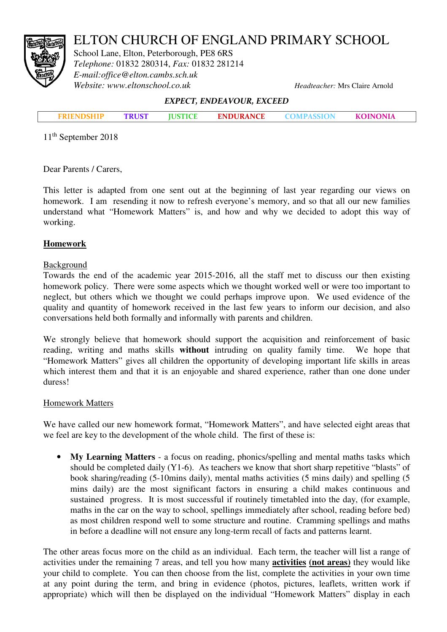# ELTON CHURCH OF ENGLAND PRIMARY SCHOOL



School Lane, Elton, Peterborough, PE8 6RS *Telephone:* 01832 280314, *Fax:* 01832 281214 *E-mail:office@elton.cambs.sch.uk Website: www.eltonschool.co.uk Headteacher:* Mrs Claire Arnold

#### EXPECT, ENDEAVOUR, EXCEED

|  | <b>TRUST</b> | <b>IUSTICE</b> | <b>ENDURANCE</b> | <b>COMPASSION</b> | <b>KOINONIA</b> |  |
|--|--------------|----------------|------------------|-------------------|-----------------|--|
|  |              |                |                  |                   |                 |  |

11<sup>th</sup> September 2018

Dear Parents / Carers,

This letter is adapted from one sent out at the beginning of last year regarding our views on homework. I am resending it now to refresh everyone's memory, and so that all our new families understand what "Homework Matters" is, and how and why we decided to adopt this way of working.

# **Homework**

## Background

Towards the end of the academic year 2015-2016, all the staff met to discuss our then existing homework policy. There were some aspects which we thought worked well or were too important to neglect, but others which we thought we could perhaps improve upon. We used evidence of the quality and quantity of homework received in the last few years to inform our decision, and also conversations held both formally and informally with parents and children.

We strongly believe that homework should support the acquisition and reinforcement of basic reading, writing and maths skills **without** intruding on quality family time. We hope that "Homework Matters" gives all children the opportunity of developing important life skills in areas which interest them and that it is an enjoyable and shared experience, rather than one done under duress!

## Homework Matters

We have called our new homework format, "Homework Matters", and have selected eight areas that we feel are key to the development of the whole child. The first of these is:

• **My Learning Matters** - a focus on reading, phonics/spelling and mental maths tasks which should be completed daily (Y1-6). As teachers we know that short sharp repetitive "blasts" of book sharing/reading (5-10mins daily), mental maths activities (5 mins daily) and spelling (5 mins daily) are the most significant factors in ensuring a child makes continuous and sustained progress. It is most successful if routinely timetabled into the day, (for example, maths in the car on the way to school, spellings immediately after school, reading before bed) as most children respond well to some structure and routine. Cramming spellings and maths in before a deadline will not ensure any long-term recall of facts and patterns learnt.

The other areas focus more on the child as an individual. Each term, the teacher will list a range of activities under the remaining 7 areas, and tell you how many **activities (not areas)** they would like your child to complete. You can then choose from the list, complete the activities in your own time at any point during the term, and bring in evidence (photos, pictures, leaflets, written work if appropriate) which will then be displayed on the individual "Homework Matters" display in each